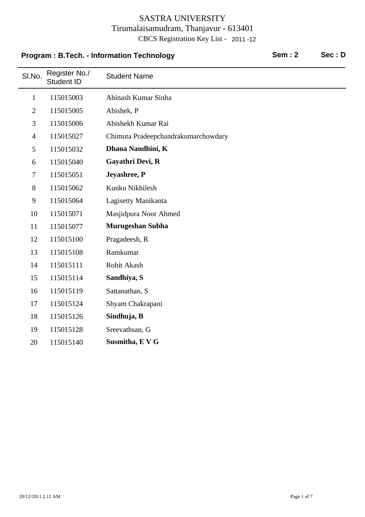# **Program : B.Tech. - Information Technology Sem : 2** Sec : D

 $\overline{\phantom{0}}$ 

| SI.No.         | Register No./<br>Student ID | <b>Student Name</b>                 |
|----------------|-----------------------------|-------------------------------------|
| $\mathbf{1}$   | 115015003                   | Abinash Kumar Sinha                 |
| $\mathfrak{2}$ | 115015005                   | Abishek, P                          |
| 3              | 115015006                   | Abishekh Kumar Rai                  |
| $\overline{4}$ | 115015027                   | Chimuta Pradeepchandrakumarchowdary |
| 5              | 115015032                   | Dhana Nandhini, K                   |
| 6              | 115015040                   | Gayathri Devi, R                    |
| 7              | 115015051                   | Jeyashree, P                        |
| 8              | 115015062                   | Kunku Nikhilesh                     |
| 9              | 115015064                   | Lagisetty Manikanta                 |
| 10             | 115015071                   | Masjidpura Noor Ahmed               |
| 11             | 115015077                   | <b>Murugeshan Subha</b>             |
| 12             | 115015100                   | Pragadeesh, R                       |
| 13             | 115015108                   | Ramkumar                            |
| 14             | 115015111                   | Rohit Akash                         |
| 15             | 115015114                   | Sandhiya, S                         |
| 16             | 115015119                   | Sattanathan, S                      |
| 17             | 115015124                   | Shyam Chakrapani                    |
| 18             | 115015126                   | Sindhuja, B                         |
| 19             | 115015128                   | Sreevathsan, G                      |
| 20             | 115015140                   | Susmitha, E V G                     |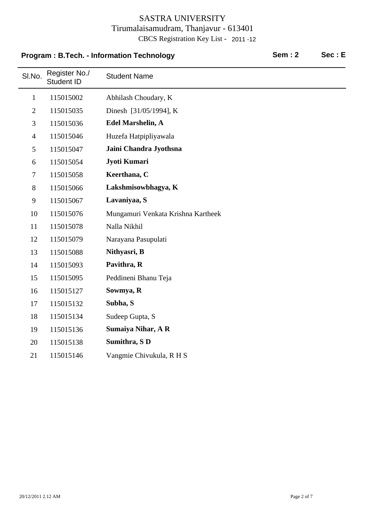# **Program : B.Tech. - Information Technology Sem : 2** Sec : E

| SI.No.         | Register No./<br>Student ID | <b>Student Name</b>                |
|----------------|-----------------------------|------------------------------------|
| $\mathbf{1}$   | 115015002                   | Abhilash Choudary, K               |
| $\overline{2}$ | 115015035                   | Dinesh [31/05/1994], K             |
| 3              | 115015036                   | <b>Edel Marshelin, A</b>           |
| $\overline{4}$ | 115015046                   | Huzefa Hatpipliyawala              |
| 5              | 115015047                   | Jaini Chandra Jyothsna             |
| 6              | 115015054                   | Jyoti Kumari                       |
| $\tau$         | 115015058                   | Keerthana, C                       |
| 8              | 115015066                   | Lakshmisowbhagya, K                |
| 9              | 115015067                   | Lavaniyaa, S                       |
| 10             | 115015076                   | Mungamuri Venkata Krishna Kartheek |
| 11             | 115015078                   | Nalla Nikhil                       |
| 12             | 115015079                   | Narayana Pasupulati                |
| 13             | 115015088                   | Nithyasri, B                       |
| 14             | 115015093                   | Pavithra, R                        |
| 15             | 115015095                   | Peddineni Bhanu Teja               |
| 16             | 115015127                   | Sowmya, R                          |
| 17             | 115015132                   | Subha, S                           |
| 18             | 115015134                   | Sudeep Gupta, S                    |
| 19             | 115015136                   | <b>Sumaiya Nihar, A R</b>          |
| 20             | 115015138                   | Sumithra, SD                       |
| 21             | 115015146                   | Vangmie Chivukula, R H S           |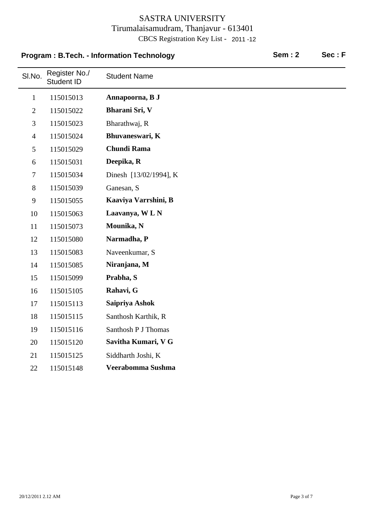# **Program : B.Tech. - Information Technology Sem : 2** Sec : F

| SI.No.         | Register No./<br>Student ID | <b>Student Name</b>    |
|----------------|-----------------------------|------------------------|
| $\mathbf{1}$   | 115015013                   | Annapoorna, B J        |
| $\mathbf{2}$   | 115015022                   | Bharani Sri, V         |
| 3              | 115015023                   | Bharathwaj, R          |
| $\overline{4}$ | 115015024                   | Bhuvaneswari, K        |
| 5              | 115015029                   | <b>Chundi Rama</b>     |
| 6              | 115015031                   | Deepika, R             |
| $\tau$         | 115015034                   | Dinesh [13/02/1994], K |
| $8\,$          | 115015039                   | Ganesan, S             |
| 9              | 115015055                   | Kaaviya Varrshini, B   |
| 10             | 115015063                   | Laavanya, WLN          |
| 11             | 115015073                   | Mounika, N             |
| 12             | 115015080                   | Narmadha, P            |
| 13             | 115015083                   | Naveenkumar, S         |
| 14             | 115015085                   | Niranjana, M           |
| 15             | 115015099                   | Prabha, S              |
| 16             | 115015105                   | Rahavi, G              |
| 17             | 115015113                   | Saipriya Ashok         |
| 18             | 115015115                   | Santhosh Karthik, R    |
| 19             | 115015116                   | Santhosh P J Thomas    |
| 20             | 115015120                   | Savitha Kumari, V G    |
| 21             | 115015125                   | Siddharth Joshi, K     |
| 22             | 115015148                   | Veerabomma Sushma      |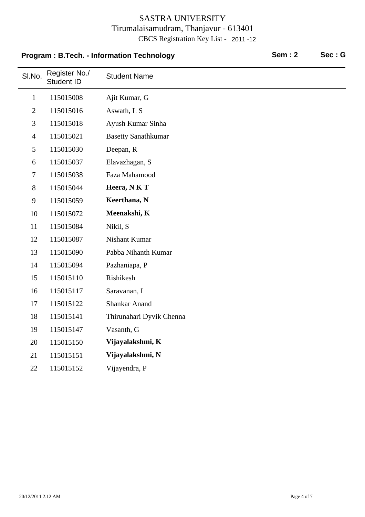# SI.No. Register No./<br>Student ID **Student Name Program : B.Tech. - Information Technology Sem : 2** Sec : G 1 115015008 Ajit Kumar, G 2 115015016 Aswath, L S 3 Ayush Kumar Sinha 115015018 4 Basetty Sanathkumar 115015021 5 115015030 Deepan, R 6 Elavazhagan, S 115015037 7 Faza Mahamood 115015038 8 115015044 **Heera, N K T** 9 115015059 **Keerthana, N** 10 115015072 **Meenakshi, K** 11 115015084 Nikil, S 12 Nishant Kumar 115015087 13 Pabba Nihanth Kumar 115015090 14 115015094 Pazhaniapa, P 15 Rishikesh 115015110 16 Saravanan, I 115015117 17 Shankar Anand 115015122 18 115015141 Thirunahari Dyvik Chenna 19 115015147 Vasanth, G 20 115015150 **Vijayalakshmi, K** 21 115015151 **Vijayalakshmi, N**

22 115015152 Vijayendra, P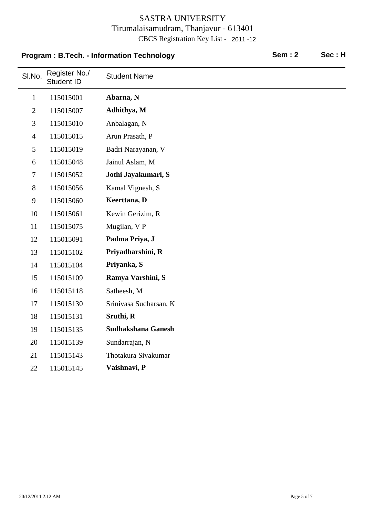# SLNo. Register No./ Student Name **Program : B.Tech. - Information Technology Sem : 2** Sec : H

| ווט.           | Student ID | <b>OLUUGHL INAHIG</b>     |
|----------------|------------|---------------------------|
| $\mathbf{1}$   | 115015001  | Abarna, N                 |
| $\overline{2}$ | 115015007  | Adhithya, M               |
| 3              | 115015010  | Anbalagan, N              |
| $\overline{4}$ | 115015015  | Arun Prasath, P           |
| 5              | 115015019  | Badri Narayanan, V        |
| 6              | 115015048  | Jainul Aslam, M           |
| $\tau$         | 115015052  | Jothi Jayakumari, S       |
| 8              | 115015056  | Kamal Vignesh, S          |
| 9              | 115015060  | Keerttana, D              |
| 10             | 115015061  | Kewin Gerizim, R          |
| 11             | 115015075  | Mugilan, V P              |
| 12             | 115015091  | Padma Priya, J            |
| 13             | 115015102  | Priyadharshini, R         |
| 14             | 115015104  | Priyanka, S               |
| 15             | 115015109  | Ramya Varshini, S         |
| 16             | 115015118  | Satheesh, M               |
| 17             | 115015130  | Srinivasa Sudharsan, K    |
| 18             | 115015131  | Sruthi, R                 |
| 19             | 115015135  | <b>Sudhakshana Ganesh</b> |
| 20             | 115015139  | Sundarrajan, N            |
| 21             | 115015143  | Thotakura Sivakumar       |
| 22             | 115015145  | Vaishnavi, P              |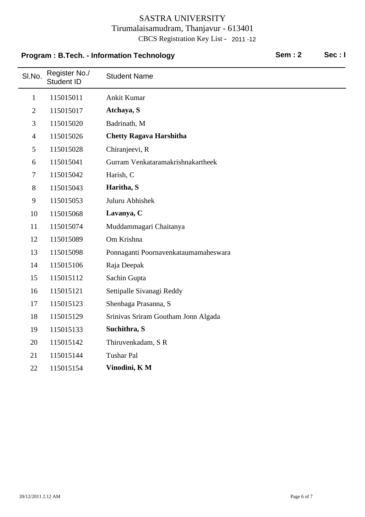### **Program : B.Tech. - Information Technology Sem : 2** Sec : I

| SI.No.         | Register No./<br><b>Student ID</b> | <b>Student Name</b>                  |
|----------------|------------------------------------|--------------------------------------|
| $\mathbf{1}$   | 115015011                          | Ankit Kumar                          |
| $\overline{2}$ | 115015017                          | Atchaya, S                           |
| 3              | 115015020                          | Badrinath, M                         |
| $\overline{4}$ | 115015026                          | <b>Chetty Ragava Harshitha</b>       |
| 5              | 115015028                          | Chiranjeevi, R                       |
| 6              | 115015041                          | Gurram Venkataramakrishnakartheek    |
| 7              | 115015042                          | Harish, C                            |
| 8              | 115015043                          | Haritha, S                           |
| 9              | 115015053                          | Juluru Abhishek                      |
| 10             | 115015068                          | Lavanya, C                           |
| 11             | 115015074                          | Muddammagari Chaitanya               |
| 12             | 115015089                          | Om Krishna                           |
| 13             | 115015098                          | Ponnaganti Poornavenkataumamaheswara |
| 14             | 115015106                          | Raja Deepak                          |
| 15             | 115015112                          | Sachin Gupta                         |
| 16             | 115015121                          | Settipalle Sivanagi Reddy            |
| 17             | 115015123                          | Shenbaga Prasanna, S                 |
| 18             | 115015129                          | Srinivas Sriram Goutham Jonn Algada  |
| 19             | 115015133                          | Suchithra, S                         |
| 20             | 115015142                          | Thiruvenkadam, SR                    |
| 21             | 115015144                          | <b>Tushar Pal</b>                    |
| 22             | 115015154                          | Vinodini, KM                         |